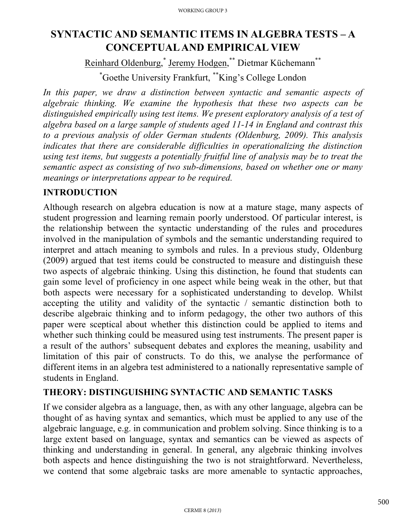# **SYNTACTIC AND SEMANTIC ITEMS IN ALGEBRA TESTS – A CONCEPTUAL AND EMPIRICAL VIEW**

Reinhard Oldenburg,<sup>\*</sup> Jeremy Hodgen,<sup>\*\*</sup> Dietmar Küchemann<sup>\*\*</sup> \* Goethe University Frankfurt, \*\*King's College London

In this paper, we draw a distinction between syntactic and semantic aspects of *algebraic thinking. We examine the hypothesis that these two aspects can be distinguished empirically using test items. We present exploratory analysis of a test of algebra based on a large sample of students aged 11-14 in England and contrast this to a previous analysis of older German students (Oldenburg, 2009). This analysis indicates that there are considerable difficulties in operationalizing the distinction using test items, but suggests a potentially fruitful line of analysis may be to treat the semantic aspect as consisting of two sub-dimensions, based on whether one or many meanings or interpretations appear to be required.*

### **INTRODUCTION**

Although research on algebra education is now at a mature stage, many aspects of student progression and learning remain poorly understood. Of particular interest, is the relationship between the syntactic understanding of the rules and procedures involved in the manipulation of symbols and the semantic understanding required to interpret and attach meaning to symbols and rules. In a previous study, Oldenburg (2009) argued that test items could be constructed to measure and distinguish these two aspects of algebraic thinking. Using this distinction, he found that students can gain some level of proficiency in one aspect while being weak in the other, but that both aspects were necessary for a sophisticated understanding to develop. Whilst accepting the utility and validity of the syntactic / semantic distinction both to describe algebraic thinking and to inform pedagogy, the other two authors of this paper were sceptical about whether this distinction could be applied to items and whether such thinking could be measured using test instruments. The present paper is a result of the authors' subsequent debates and explores the meaning, usability and limitation of this pair of constructs. To do this, we analyse the performance of different items in an algebra test administered to a nationally representative sample of students in England.

### **THEORY: DISTINGUISHING SYNTACTIC AND SEMANTIC TASKS**

If we consider algebra as a language, then, as with any other language, algebra can be thought of as having syntax and semantics, which must be applied to any use of the algebraic language, e.g. in communication and problem solving. Since thinking is to a large extent based on language, syntax and semantics can be viewed as aspects of thinking and understanding in general. In general, any algebraic thinking involves both aspects and hence distinguishing the two is not straightforward. Nevertheless, we contend that some algebraic tasks are more amenable to syntactic approaches,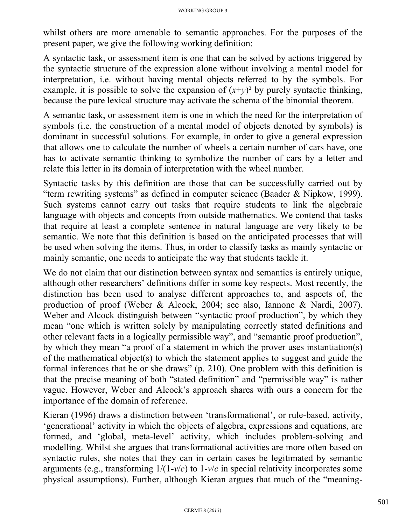whilst others are more amenable to semantic approaches. For the purposes of the present paper, we give the following working definition:

A syntactic task, or assessment item is one that can be solved by actions triggered by the syntactic structure of the expression alone without involving a mental model for interpretation, i.e. without having mental objects referred to by the symbols. For example, it is possible to solve the expansion of  $(x+y)^2$  by purely syntactic thinking, because the pure lexical structure may activate the schema of the binomial theorem.

A semantic task, or assessment item is one in which the need for the interpretation of symbols (i.e. the construction of a mental model of objects denoted by symbols) is dominant in successful solutions. For example, in order to give a general expression that allows one to calculate the number of wheels a certain number of cars have, one has to activate semantic thinking to symbolize the number of cars by a letter and relate this letter in its domain of interpretation with the wheel number.

Syntactic tasks by this definition are those that can be successfully carried out by "term rewriting systems" as defined in computer science (Baader & Nipkow, 1999). Such systems cannot carry out tasks that require students to link the algebraic language with objects and concepts from outside mathematics. We contend that tasks that require at least a complete sentence in natural language are very likely to be semantic. We note that this definition is based on the anticipated processes that will be used when solving the items. Thus, in order to classify tasks as mainly syntactic or mainly semantic, one needs to anticipate the way that students tackle it.

We do not claim that our distinction between syntax and semantics is entirely unique, although other researchers' definitions differ in some key respects. Most recently, the distinction has been used to analyse different approaches to, and aspects of, the production of proof (Weber & Alcock, 2004; see also, Iannone & Nardi, 2007). Weber and Alcock distinguish between "syntactic proof production", by which they mean "one which is written solely by manipulating correctly stated definitions and other relevant facts in a logically permissible way", and "semantic proof production", by which they mean "a proof of a statement in which the prover uses instantiation(s) of the mathematical object(s) to which the statement applies to suggest and guide the formal inferences that he or she draws" (p. 210). One problem with this definition is that the precise meaning of both "stated definition" and "permissible way" is rather vague. However, Weber and Alcock's approach shares with ours a concern for the importance of the domain of reference.

Kieran (1996) draws a distinction between 'transformational', or rule-based, activity, 'generational' activity in which the objects of algebra, expressions and equations, are formed, and 'global, meta-level' activity, which includes problem-solving and modelling. Whilst she argues that transformational activities are more often based on syntactic rules, she notes that they can in certain cases be legitimated by semantic arguments (e.g., transforming 1/(1-*v*/*c*) to 1-*v*/*c* in special relativity incorporates some physical assumptions). Further, although Kieran argues that much of the "meaning-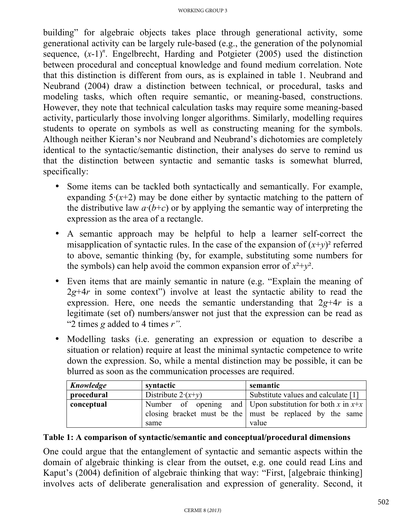building" for algebraic objects takes place through generational activity, some generational activity can be largely rule-based (e.g., the generation of the polynomial sequence,  $(x-1)^n$ . Engelbrecht, Harding and Potgieter (2005) used the distinction between procedural and conceptual knowledge and found medium correlation. Note that this distinction is different from ours, as is explained in table 1. Neubrand and Neubrand (2004) draw a distinction between technical, or procedural, tasks and modeling tasks, which often require semantic, or meaning-based, constructions. However, they note that technical calculation tasks may require some meaning-based activity, particularly those involving longer algorithms. Similarly, modelling requires students to operate on symbols as well as constructing meaning for the symbols. Although neither Kieran's nor Neubrand and Neubrand's dichotomies are completely identical to the syntactic/semantic distinction, their analyses do serve to remind us that the distinction between syntactic and semantic tasks is somewhat blurred, specifically:

- Some items can be tackled both syntactically and semantically. For example, expanding  $5(x+2)$  may be done either by syntactic matching to the pattern of the distributive law  $a(b+c)$  or by applying the semantic way of interpreting the expression as the area of a rectangle.
- A semantic approach may be helpful to help a learner self-correct the misapplication of syntactic rules. In the case of the expansion of  $(x+y)^2$  referred to above, semantic thinking (by, for example, substituting some numbers for the symbols) can help avoid the common expansion error of  $x^2+y^2$ .
- Even items that are mainly semantic in nature (e.g. "Explain the meaning of  $2g+4r$  in some context") involve at least the syntactic ability to read the expression. Here, one needs the semantic understanding that 2*g*+4*r* is a legitimate (set of) numbers/answer not just that the expression can be read as "2 times *g* added to 4 times *r".*
- Modelling tasks (i.e. generating an expression or equation to describe a situation or relation) require at least the minimal syntactic competence to write down the expression. So, while a mental distinction may be possible, it can be blurred as soon as the communication processes are required.

| Knowledge  | syntactic                  | semantic                                                    |  |  |  |  |
|------------|----------------------------|-------------------------------------------------------------|--|--|--|--|
| procedural | Distribute $2 \cdot (x+y)$ | Substitute values and calculate [1]                         |  |  |  |  |
| conceptual |                            | Number of opening and Upon substitution for both x in $x+x$ |  |  |  |  |
|            |                            | closing bracket must be the must be replaced by the same    |  |  |  |  |
|            | same                       | value                                                       |  |  |  |  |

#### **Table 1: A comparison of syntactic/semantic and conceptual/procedural dimensions**

One could argue that the entanglement of syntactic and semantic aspects within the domain of algebraic thinking is clear from the outset, e.g. one could read Lins and Kaput's (2004) definition of algebraic thinking that way: "First, [algebraic thinking] involves acts of deliberate generalisation and expression of generality. Second, it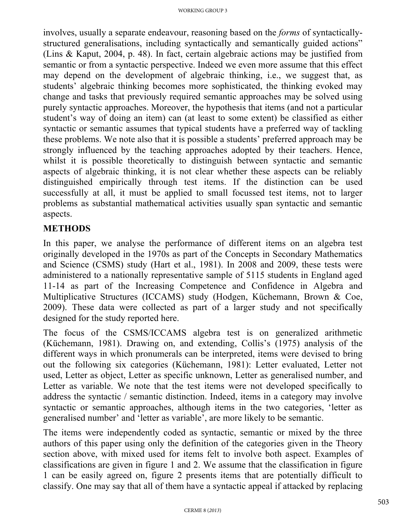involves, usually a separate endeavour, reasoning based on the *forms* of syntacticallystructured generalisations, including syntactically and semantically guided actions" (Lins & Kaput, 2004, p. 48). In fact, certain algebraic actions may be justified from semantic or from a syntactic perspective. Indeed we even more assume that this effect may depend on the development of algebraic thinking, i.e., we suggest that, as students' algebraic thinking becomes more sophisticated, the thinking evoked may change and tasks that previously required semantic approaches may be solved using purely syntactic approaches. Moreover, the hypothesis that items (and not a particular student's way of doing an item) can (at least to some extent) be classified as either syntactic or semantic assumes that typical students have a preferred way of tackling these problems. We note also that it is possible a students' preferred approach may be strongly influenced by the teaching approaches adopted by their teachers. Hence, whilst it is possible theoretically to distinguish between syntactic and semantic aspects of algebraic thinking, it is not clear whether these aspects can be reliably distinguished empirically through test items. If the distinction can be used successfully at all, it must be applied to small focussed test items, not to larger problems as substantial mathematical activities usually span syntactic and semantic aspects.

## **METHODS**

In this paper, we analyse the performance of different items on an algebra test originally developed in the 1970s as part of the Concepts in Secondary Mathematics and Science (CSMS) study (Hart et al., 1981). In 2008 and 2009, these tests were administered to a nationally representative sample of 5115 students in England aged 11-14 as part of the Increasing Competence and Confidence in Algebra and Multiplicative Structures (ICCAMS) study (Hodgen, Küchemann, Brown & Coe, 2009). These data were collected as part of a larger study and not specifically designed for the study reported here.

The focus of the CSMS/ICCAMS algebra test is on generalized arithmetic (Küchemann, 1981). Drawing on, and extending, Collis's (1975) analysis of the different ways in which pronumerals can be interpreted, items were devised to bring out the following six categories (Küchemann, 1981): Letter evaluated, Letter not used, Letter as object, Letter as specific unknown, Letter as generalised number, and Letter as variable. We note that the test items were not developed specifically to address the syntactic / semantic distinction. Indeed, items in a category may involve syntactic or semantic approaches, although items in the two categories, 'letter as generalised number' and 'letter as variable', are more likely to be semantic.

The items were independently coded as syntactic, semantic or mixed by the three authors of this paper using only the definition of the categories given in the Theory section above, with mixed used for items felt to involve both aspect. Examples of classifications are given in figure 1 and 2. We assume that the classification in figure 1 can be easily agreed on, figure 2 presents items that are potentially difficult to classify. One may say that all of them have a syntactic appeal if attacked by replacing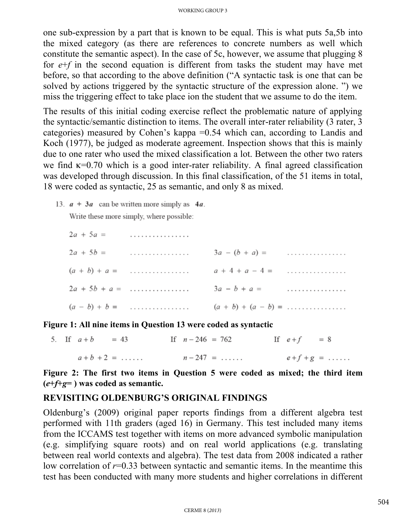one sub-expression by a part that is known to be equal. This is what puts 5a,5b into the mixed category (as there are references to concrete numbers as well which constitute the semantic aspect). In the case of 5c, however, we assume that plugging 8 for *e*+*f* in the second equation is different from tasks the student may have met before, so that according to the above definition ("A syntactic task is one that can be solved by actions triggered by the syntactic structure of the expression alone. ") we miss the triggering effect to take place ion the student that we assume to do the item.

The results of this initial coding exercise reflect the problematic nature of applying the syntactic/semantic distinction to items. The overall inter-rater reliability (3 rater, 3 categories) measured by Cohen's kappa =0.54 which can, according to Landis and Koch (1977), be judged as moderate agreement. Inspection shows that this is mainly due to one rater who used the mixed classification a lot. Between the other two raters we find κ=0.70 which is a good inter-rater reliability. A final agreed classification was developed through discussion. In this final classification, of the 51 items in total, 18 were coded as syntactic, 25 as semantic, and only 8 as mixed.

13.  $a + 3a$  can be written more simply as 4*a*.

Write these more simply, where possible:

| $2a + 5a =$ | .               |                                                     |   |
|-------------|-----------------|-----------------------------------------------------|---|
|             | $2a + 5b =$     | $3a - (b + a) =$                                    |   |
|             | $(a + b) + a =$ | $a + 4 + a - 4 =$                                   |   |
|             | $2a + 5b + a =$ | $3a - b + a =$                                      | . |
|             | $(a - b) + b =$ | $(a + b) + (a - b) = \dots \dots \dots \dots \dots$ |   |

**Figure 1: All nine items in Question 13 were coded as syntactic**

|  | 5. If $a+b$ | $= 43$               | If $n - 246 = 762$ | If $e+f = 8$     |  |
|--|-------------|----------------------|--------------------|------------------|--|
|  |             | $a + b + 2 = \ldots$ | $n - 247 = \ldots$ | $e+f+g = \ldots$ |  |

**Figure 2: The first two items in Question 5 were coded as mixed; the third item (***e***+***f***+***g***= ) was coded as semantic.**

#### **REVISITING OLDENBURG'S ORIGINAL FINDINGS**

Oldenburg's (2009) original paper reports findings from a different algebra test performed with 11th graders (aged 16) in Germany. This test included many items from the ICCAMS test together with items on more advanced symbolic manipulation (e.g. simplifying square roots) and on real world applications (e.g. translating between real world contexts and algebra). The test data from 2008 indicated a rather low correlation of *r*=0.33 between syntactic and semantic items. In the meantime this test has been conducted with many more students and higher correlations in different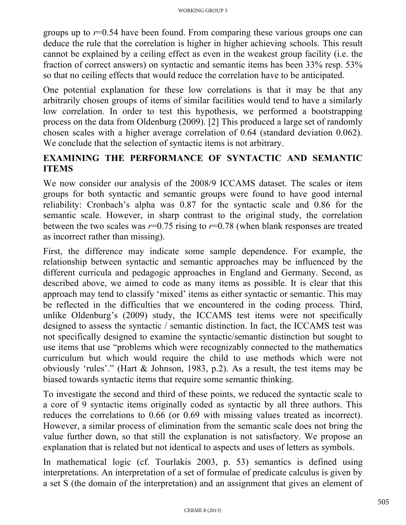groups up to *r*=0.54 have been found. From comparing these various groups one can deduce the rule that the correlation is higher in higher achieving schools. This result cannot be explained by a ceiling effect as even in the weakest group facility (i.e. the fraction of correct answers) on syntactic and semantic items has been 33% resp. 53% so that no ceiling effects that would reduce the correlation have to be anticipated.

One potential explanation for these low correlations is that it may be that any arbitrarily chosen groups of items of similar facilities would tend to have a similarly low correlation. In order to test this hypothesis, we performed a bootstrapping process on the data from Oldenburg (2009). [2] This produced a large set of randomly chosen scales with a higher average correlation of 0.64 (standard deviation 0.062). We conclude that the selection of syntactic items is not arbitrary.

## **EXAMINING THE PERFORMANCE OF SYNTACTIC AND SEMANTIC ITEMS**

We now consider our analysis of the 2008/9 ICCAMS dataset. The scales or item groups for both syntactic and semantic groups were found to have good internal reliability: Cronbach's alpha was 0.87 for the syntactic scale and 0.86 for the semantic scale. However, in sharp contrast to the original study, the correlation between the two scales was  $r=0.75$  rising to  $r=0.78$  (when blank responses are treated as incorrect rather than missing).

First, the difference may indicate some sample dependence. For example, the relationship between syntactic and semantic approaches may be influenced by the different curricula and pedagogic approaches in England and Germany. Second, as described above, we aimed to code as many items as possible. It is clear that this approach may tend to classify 'mixed' items as either syntactic or semantic. This may be reflected in the difficulties that we encountered in the coding process. Third, unlike Oldenburg's (2009) study, the ICCAMS test items were not specifically designed to assess the syntactic / semantic distinction. In fact, the ICCAMS test was not specifically designed to examine the syntactic/semantic distinction but sought to use items that use "problems which were recognizably connected to the mathematics curriculum but which would require the child to use methods which were not obviously 'rules'." (Hart & Johnson, 1983, p.2). As a result, the test items may be biased towards syntactic items that require some semantic thinking.

To investigate the second and third of these points, we reduced the syntactic scale to a core of 9 syntactic items originally coded as syntactic by all three authors. This reduces the correlations to 0.66 (or 0.69 with missing values treated as incorrect). However, a similar process of elimination from the semantic scale does not bring the value further down, so that still the explanation is not satisfactory. We propose an explanation that is related but not identical to aspects and uses of letters as symbols.

In mathematical logic (cf. Tourlakis 2003, p. 53) semantics is defined using interpretations. An interpretation of a set of formulae of predicate calculus is given by a set S (the domain of the interpretation) and an assignment that gives an element of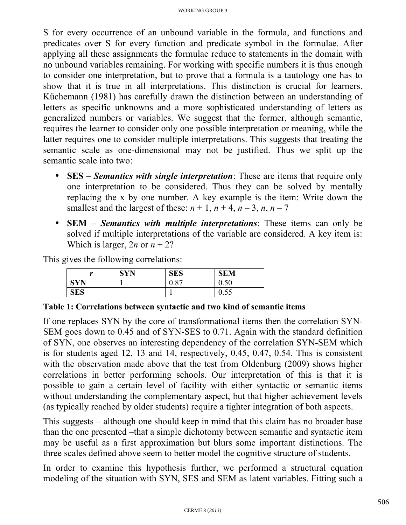S for every occurrence of an unbound variable in the formula, and functions and predicates over S for every function and predicate symbol in the formulae. After applying all these assignments the formulae reduce to statements in the domain with no unbound variables remaining. For working with specific numbers it is thus enough to consider one interpretation, but to prove that a formula is a tautology one has to show that it is true in all interpretations. This distinction is crucial for learners. Küchemann (1981) has carefully drawn the distinction between an understanding of letters as specific unknowns and a more sophisticated understanding of letters as generalized numbers or variables. We suggest that the former, although semantic, requires the learner to consider only one possible interpretation or meaning, while the latter requires one to consider multiple interpretations. This suggests that treating the semantic scale as one-dimensional may not be justified. Thus we split up the semantic scale into two:

- **SES** *Semantics with single interpretation*: These are items that require only one interpretation to be considered. Thus they can be solved by mentally replacing the x by one number. A key example is the item: Write down the smallest and the largest of these:  $n + 1$ ,  $n + 4$ ,  $n - 3$ ,  $n$ ,  $n - 7$
- **SEM** *Semantics with multiple interpretations*: These items can only be solved if multiple interpretations of the variable are considered. A key item is: Which is larger,  $2n$  or  $n + 2$ ?

This gives the following correlations:

| $\bullet$  | CVM | <b>SES</b> | <b>SEM</b>         |
|------------|-----|------------|--------------------|
|            |     | 0.87       | $\sqrt{2}$<br>v.ju |
| <b>SES</b> |     |            | ∪.∪J               |

#### **Table 1: Correlations between syntactic and two kind of semantic items**

If one replaces SYN by the core of transformational items then the correlation SYN-SEM goes down to 0.45 and of SYN-SES to 0.71. Again with the standard definition of SYN, one observes an interesting dependency of the correlation SYN-SEM which is for students aged 12, 13 and 14, respectively, 0.45, 0.47, 0.54. This is consistent with the observation made above that the test from Oldenburg (2009) shows higher correlations in better performing schools. Our interpretation of this is that it is possible to gain a certain level of facility with either syntactic or semantic items without understanding the complementary aspect, but that higher achievement levels (as typically reached by older students) require a tighter integration of both aspects.

This suggests – although one should keep in mind that this claim has no broader base than the one presented –that a simple dichotomy between semantic and syntactic item may be useful as a first approximation but blurs some important distinctions. The three scales defined above seem to better model the cognitive structure of students.

In order to examine this hypothesis further, we performed a structural equation modeling of the situation with SYN, SES and SEM as latent variables. Fitting such a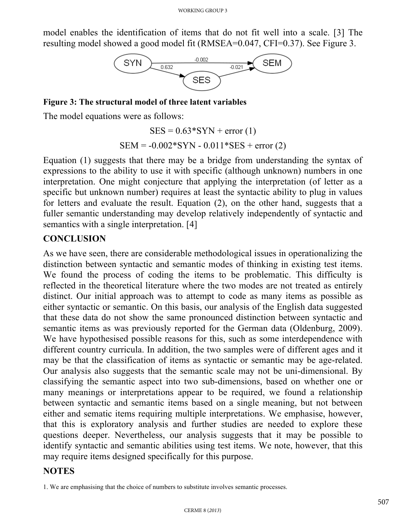model enables the identification of items that do not fit well into a scale. [3] The resulting model showed a good model fit (RMSEA=0.047, CFI=0.37). See Figure 3.



**Figure 3: The structural model of three latent variables**

The model equations were as follows:

 $SES = 0.63*SYN + error(1)$  $SEM = -0.002*SYN - 0.011*SES + error (2)$ 

Equation (1) suggests that there may be a bridge from understanding the syntax of expressions to the ability to use it with specific (although unknown) numbers in one interpretation. One might conjecture that applying the interpretation (of letter as a specific but unknown number) requires at least the syntactic ability to plug in values for letters and evaluate the result. Equation (2), on the other hand, suggests that a fuller semantic understanding may develop relatively independently of syntactic and semantics with a single interpretation. [4]

### **CONCLUSION**

As we have seen, there are considerable methodological issues in operationalizing the distinction between syntactic and semantic modes of thinking in existing test items. We found the process of coding the items to be problematic. This difficulty is reflected in the theoretical literature where the two modes are not treated as entirely distinct. Our initial approach was to attempt to code as many items as possible as either syntactic or semantic. On this basis, our analysis of the English data suggested that these data do not show the same pronounced distinction between syntactic and semantic items as was previously reported for the German data (Oldenburg, 2009). We have hypothesised possible reasons for this, such as some interdependence with different country curricula. In addition, the two samples were of different ages and it may be that the classification of items as syntactic or semantic may be age-related. Our analysis also suggests that the semantic scale may not be uni-dimensional. By classifying the semantic aspect into two sub-dimensions, based on whether one or many meanings or interpretations appear to be required, we found a relationship between syntactic and semantic items based on a single meaning, but not between either and sematic items requiring multiple interpretations. We emphasise, however, that this is exploratory analysis and further studies are needed to explore these questions deeper. Nevertheless, our analysis suggests that it may be possible to identify syntactic and semantic abilities using test items. We note, however, that this may require items designed specifically for this purpose.

#### **NOTES**

<sup>1.</sup> We are emphasising that the choice of numbers to substitute involves semantic processes.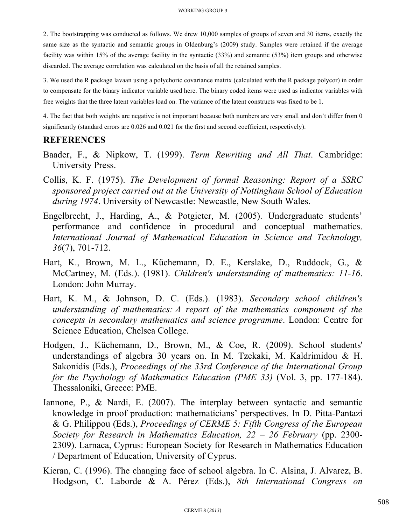2. The bootstrapping was conducted as follows. We drew 10,000 samples of groups of seven and 30 items, exactly the same size as the syntactic and semantic groups in Oldenburg's (2009) study. Samples were retained if the average facility was within 15% of the average facility in the syntactic (33%) and semantic (53%) item groups and otherwise discarded. The average correlation was calculated on the basis of all the retained samples.

3. We used the R package lavaan using a polychoric covariance matrix (calculated with the R package polycor) in order to compensate for the binary indicator variable used here. The binary coded items were used as indicator variables with free weights that the three latent variables load on. The variance of the latent constructs was fixed to be 1.

4. The fact that both weights are negative is not important because both numbers are very small and don't differ from 0 significantly (standard errors are 0.026 and 0.021 for the first and second coefficient, respectively).

#### **REFERENCES**

- Baader, F., & Nipkow, T. (1999). *Term Rewriting and All That*. Cambridge: University Press.
- Collis, K. F. (1975). *The Development of formal Reasoning: Report of a SSRC sponsored project carried out at the University of Nottingham School of Education during 1974*. University of Newcastle: Newcastle, New South Wales.
- Engelbrecht, J., Harding, A., & Potgieter, M. (2005). Undergraduate students' performance and confidence in procedural and conceptual mathematics. *International Journal of Mathematical Education in Science and Technology, 36*(7), 701-712.
- Hart, K., Brown, M. L., Küchemann, D. E., Kerslake, D., Ruddock, G., & McCartney, M. (Eds.). (1981). *Children's understanding of mathematics: 11-16*. London: John Murray.
- Hart, K. M., & Johnson, D. C. (Eds.). (1983). *Secondary school children's understanding of mathematics: A report of the mathematics component of the concepts in secondary mathematics and science programme*. London: Centre for Science Education, Chelsea College.
- Hodgen, J., Küchemann, D., Brown, M., & Coe, R. (2009). School students' understandings of algebra 30 years on. In M. Tzekaki, M. Kaldrimidou & H. Sakonidis (Eds.), *Proceedings of the 33rd Conference of the International Group for the Psychology of Mathematics Education (PME 33)* (Vol. 3, pp. 177-184). Thessaloniki, Greece: PME.
- Iannone, P., & Nardi, E. (2007). The interplay between syntactic and semantic knowledge in proof production: mathematicians' perspectives. In D. Pitta-Pantazi & G. Philippou (Eds.), *Proceedings of CERME 5: Fifth Congress of the European Society for Research in Mathematics Education, 22 – 26 February* (pp. 2300- 2309). Larnaca, Cyprus: European Society for Research in Mathematics Education / Department of Education, University of Cyprus.
- Kieran, C. (1996). The changing face of school algebra. In C. Alsina, J. Alvarez, B. Hodgson, C. Laborde & A. Pérez (Eds.), *8th International Congress on*